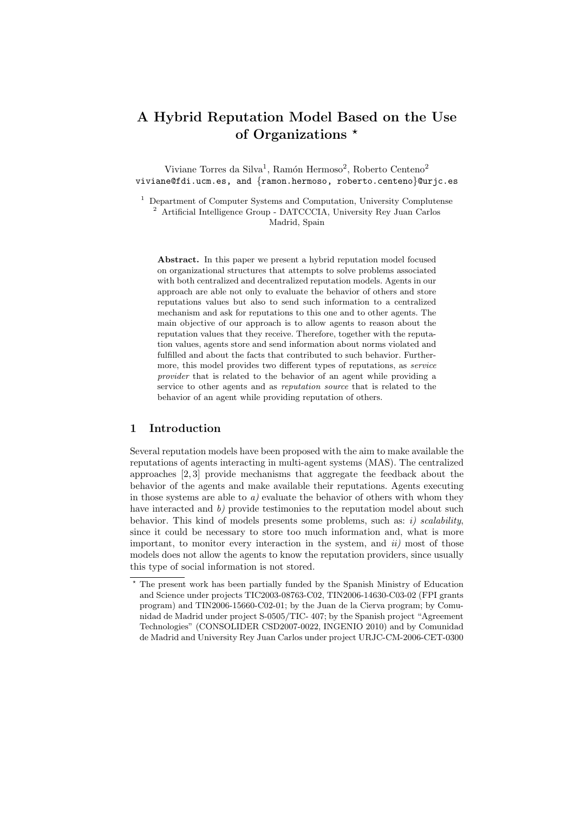# A Hybrid Reputation Model Based on the Use of Organizations  $\star$

Viviane Torres da Silva<sup>1</sup>, Ramón Hermoso<sup>2</sup>, Roberto Centeno<sup>2</sup> viviane@fdi.ucm.es, and {ramon.hermoso, roberto.centeno}@urjc.es

<sup>1</sup> Department of Computer Systems and Computation, University Complutense <sup>2</sup> Artificial Intelligence Group - DATCCCIA, University Rey Juan Carlos Madrid, Spain

Abstract. In this paper we present a hybrid reputation model focused on organizational structures that attempts to solve problems associated with both centralized and decentralized reputation models. Agents in our approach are able not only to evaluate the behavior of others and store reputations values but also to send such information to a centralized mechanism and ask for reputations to this one and to other agents. The main objective of our approach is to allow agents to reason about the reputation values that they receive. Therefore, together with the reputation values, agents store and send information about norms violated and fulfilled and about the facts that contributed to such behavior. Furthermore, this model provides two different types of reputations, as service provider that is related to the behavior of an agent while providing a service to other agents and as reputation source that is related to the behavior of an agent while providing reputation of others.

## 1 Introduction

Several reputation models have been proposed with the aim to make available the reputations of agents interacting in multi-agent systems (MAS). The centralized approaches [2, 3] provide mechanisms that aggregate the feedback about the behavior of the agents and make available their reputations. Agents executing in those systems are able to  $a)$  evaluate the behavior of others with whom they have interacted and  $b$ ) provide testimonies to the reputation model about such behavior. This kind of models presents some problems, such as: i) scalability, since it could be necessary to store too much information and, what is more important, to monitor every interaction in the system, and  $ii$  most of those models does not allow the agents to know the reputation providers, since usually this type of social information is not stored.

<sup>?</sup> The present work has been partially funded by the Spanish Ministry of Education and Science under projects TIC2003-08763-C02, TIN2006-14630-C03-02 (FPI grants program) and TIN2006-15660-C02-01; by the Juan de la Cierva program; by Comunidad de Madrid under project S-0505/TIC- 407; by the Spanish project "Agreement Technologies" (CONSOLIDER CSD2007-0022, INGENIO 2010) and by Comunidad de Madrid and University Rey Juan Carlos under project URJC-CM-2006-CET-0300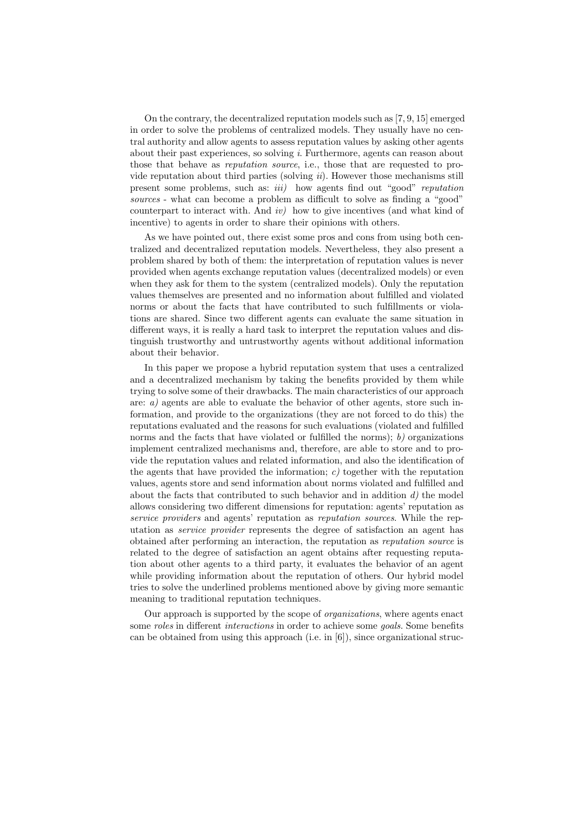On the contrary, the decentralized reputation models such as [7, 9, 15] emerged in order to solve the problems of centralized models. They usually have no central authority and allow agents to assess reputation values by asking other agents about their past experiences, so solving  $i$ . Furthermore, agents can reason about those that behave as *reputation source*, i.e., those that are requested to provide reputation about third parties (solving  $ii$ ). However those mechanisms still present some problems, such as: *iii*) how agents find out "good" reputation sources - what can become a problem as difficult to solve as finding a "good" counterpart to interact with. And  $iv$ ) how to give incentives (and what kind of incentive) to agents in order to share their opinions with others.

As we have pointed out, there exist some pros and cons from using both centralized and decentralized reputation models. Nevertheless, they also present a problem shared by both of them: the interpretation of reputation values is never provided when agents exchange reputation values (decentralized models) or even when they ask for them to the system (centralized models). Only the reputation values themselves are presented and no information about fulfilled and violated norms or about the facts that have contributed to such fulfillments or violations are shared. Since two different agents can evaluate the same situation in different ways, it is really a hard task to interpret the reputation values and distinguish trustworthy and untrustworthy agents without additional information about their behavior.

In this paper we propose a hybrid reputation system that uses a centralized and a decentralized mechanism by taking the benefits provided by them while trying to solve some of their drawbacks. The main characteristics of our approach are: a) agents are able to evaluate the behavior of other agents, store such information, and provide to the organizations (they are not forced to do this) the reputations evaluated and the reasons for such evaluations (violated and fulfilled norms and the facts that have violated or fulfilled the norms);  $b$ ) organizations implement centralized mechanisms and, therefore, are able to store and to provide the reputation values and related information, and also the identification of the agents that have provided the information;  $c$  together with the reputation values, agents store and send information about norms violated and fulfilled and about the facts that contributed to such behavior and in addition  $d$ ) the model allows considering two different dimensions for reputation: agents' reputation as service providers and agents' reputation as reputation sources. While the reputation as service provider represents the degree of satisfaction an agent has obtained after performing an interaction, the reputation as reputation source is related to the degree of satisfaction an agent obtains after requesting reputation about other agents to a third party, it evaluates the behavior of an agent while providing information about the reputation of others. Our hybrid model tries to solve the underlined problems mentioned above by giving more semantic meaning to traditional reputation techniques.

Our approach is supported by the scope of organizations, where agents enact some *roles* in different *interactions* in order to achieve some *goals*. Some benefits can be obtained from using this approach (i.e. in [6]), since organizational struc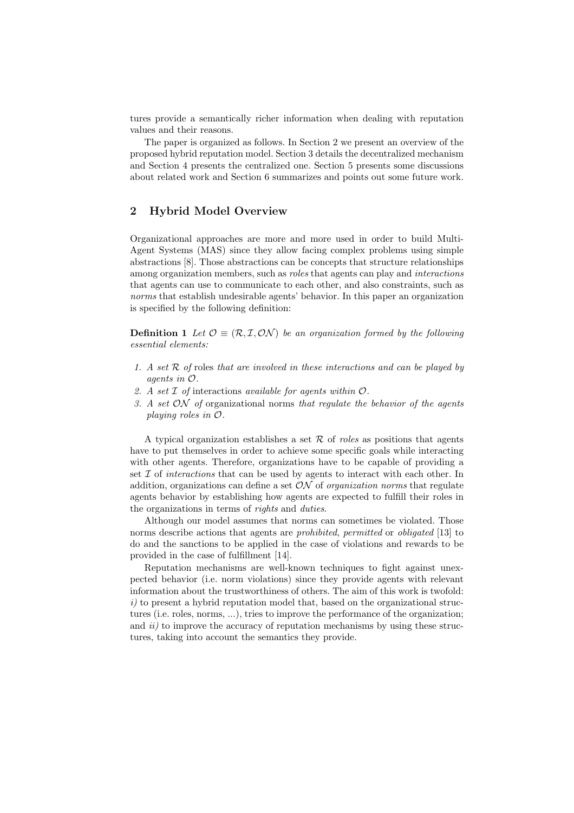tures provide a semantically richer information when dealing with reputation values and their reasons.

The paper is organized as follows. In Section 2 we present an overview of the proposed hybrid reputation model. Section 3 details the decentralized mechanism and Section 4 presents the centralized one. Section 5 presents some discussions about related work and Section 6 summarizes and points out some future work.

## 2 Hybrid Model Overview

Organizational approaches are more and more used in order to build Multi-Agent Systems (MAS) since they allow facing complex problems using simple abstractions [8]. Those abstractions can be concepts that structure relationships among organization members, such as roles that agents can play and interactions that agents can use to communicate to each other, and also constraints, such as norms that establish undesirable agents' behavior. In this paper an organization is specified by the following definition:

**Definition 1** Let  $\mathcal{O} \equiv (\mathcal{R}, \mathcal{I}, \mathcal{ON})$  be an organization formed by the following essential elements:

- 1. A set  $R$  of roles that are involved in these interactions and can be played by agents in O.
- 2. A set  $\mathcal I$  of interactions available for agents within  $\mathcal O$ .
- 3. A set  $ON$  of organizational norms that regulate the behavior of the agents playing roles in O.

A typical organization establishes a set  $\mathcal R$  of *roles* as positions that agents have to put themselves in order to achieve some specific goals while interacting with other agents. Therefore, organizations have to be capable of providing a set  $\mathcal I$  of *interactions* that can be used by agents to interact with each other. In addition, organizations can define a set  $ON$  of *organization norms* that regulate agents behavior by establishing how agents are expected to fulfill their roles in the organizations in terms of rights and duties.

Although our model assumes that norms can sometimes be violated. Those norms describe actions that agents are *prohibited*, *permitted* or *obligated* [13] to do and the sanctions to be applied in the case of violations and rewards to be provided in the case of fulfillment [14].

Reputation mechanisms are well-known techniques to fight against unexpected behavior (i.e. norm violations) since they provide agents with relevant information about the trustworthiness of others. The aim of this work is twofold:  $i)$  to present a hybrid reputation model that, based on the organizational structures (i.e. roles, norms, ...), tries to improve the performance of the organization; and  $ii)$  to improve the accuracy of reputation mechanisms by using these structures, taking into account the semantics they provide.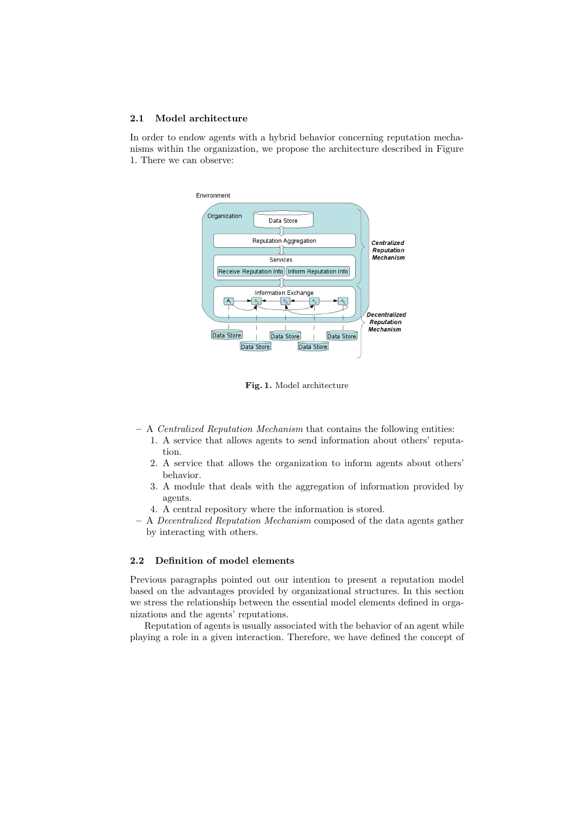#### 2.1 Model architecture

In order to endow agents with a hybrid behavior concerning reputation mechanisms within the organization, we propose the architecture described in Figure 1. There we can observe:



Fig. 1. Model architecture

- A Centralized Reputation Mechanism that contains the following entities:
	- 1. A service that allows agents to send information about others' reputation.
	- 2. A service that allows the organization to inform agents about others' behavior.
	- 3. A module that deals with the aggregation of information provided by agents.
	- 4. A central repository where the information is stored.
- A Decentralized Reputation Mechanism composed of the data agents gather by interacting with others.

#### 2.2 Definition of model elements

Previous paragraphs pointed out our intention to present a reputation model based on the advantages provided by organizational structures. In this section we stress the relationship between the essential model elements defined in organizations and the agents' reputations.

Reputation of agents is usually associated with the behavior of an agent while playing a role in a given interaction. Therefore, we have defined the concept of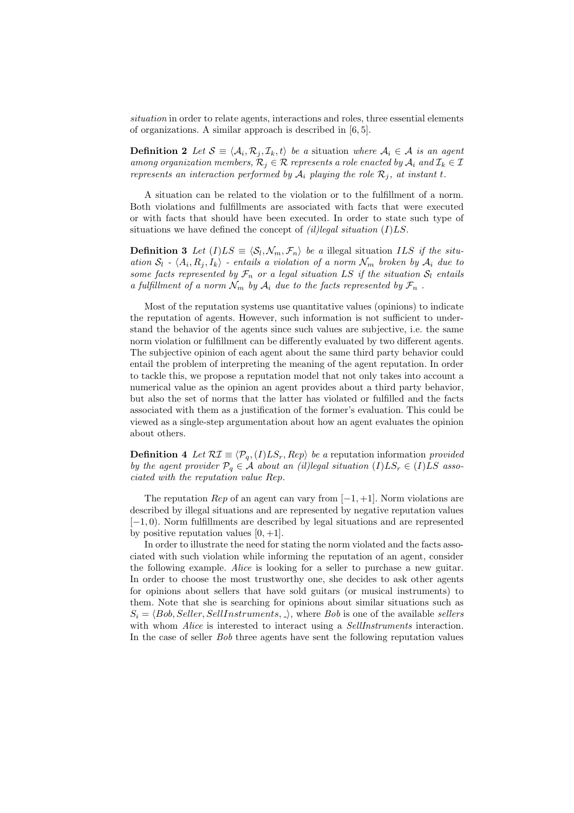situation in order to relate agents, interactions and roles, three essential elements of organizations. A similar approach is described in [6, 5].

**Definition 2** Let  $\mathcal{S} \equiv \langle \mathcal{A}_i, \mathcal{R}_j, \mathcal{I}_k, t \rangle$  be a situation where  $\mathcal{A}_i \in \mathcal{A}$  is an agent among organization members,  $\mathcal{R}_j \in \mathcal{R}$  represents a role enacted by  $\mathcal{A}_i$  and  $\mathcal{I}_k \in \mathcal{I}$ represents an interaction performed by  $A_i$  playing the role  $\mathcal{R}_i$ , at instant t.

A situation can be related to the violation or to the fulfillment of a norm. Both violations and fulfillments are associated with facts that were executed or with facts that should have been executed. In order to state such type of situations we have defined the concept of *(il)legal situation (I)LS*.

**Definition 3** Let  $(I)LS \equiv \langle \mathcal{S}_l, \mathcal{N}_m, \mathcal{F}_n \rangle$  be a illegal situation ILS if the situation  $S_l$  -  $\langle A_i, R_j, I_k \rangle$  - entails a violation of a norm  $\mathcal{N}_m$  broken by  $\mathcal{A}_i$  due to some facts represented by  $\mathcal{F}_n$  or a legal situation LS if the situation  $\mathcal{S}_l$  entails a fulfillment of a norm  $\mathcal{N}_m$  by  $\mathcal{A}_i$  due to the facts represented by  $\mathcal{F}_n$ .

Most of the reputation systems use quantitative values (opinions) to indicate the reputation of agents. However, such information is not sufficient to understand the behavior of the agents since such values are subjective, i.e. the same norm violation or fulfillment can be differently evaluated by two different agents. The subjective opinion of each agent about the same third party behavior could entail the problem of interpreting the meaning of the agent reputation. In order to tackle this, we propose a reputation model that not only takes into account a numerical value as the opinion an agent provides about a third party behavior, but also the set of norms that the latter has violated or fulfilled and the facts associated with them as a justification of the former's evaluation. This could be viewed as a single-step argumentation about how an agent evaluates the opinion about others.

**Definition 4** Let  $\mathcal{RI} \equiv \langle \mathcal{P}_q, (I)LS_r, Rep \rangle$  be a reputation information provided by the agent provider  $P_q \in \mathcal{A}$  about an (il)legal situation  $(I)LS_r \in (I)LS$  associated with the reputation value Rep.

The reputation Rep of an agent can vary from  $[-1, +1]$ . Norm violations are described by illegal situations and are represented by negative reputation values [−1, 0). Norm fulfillments are described by legal situations and are represented by positive reputation values  $[0, +1]$ .

In order to illustrate the need for stating the norm violated and the facts associated with such violation while informing the reputation of an agent, consider the following example. Alice is looking for a seller to purchase a new guitar. In order to choose the most trustworthy one, she decides to ask other agents for opinions about sellers that have sold guitars (or musical instruments) to them. Note that she is searching for opinions about similar situations such as  $S_i = \langle Bob, Seller, SellInstruments, \rangle$ , where Bob is one of the available sellers with whom *Alice* is interested to interact using a *SellInstruments* interaction. In the case of seller Bob three agents have sent the following reputation values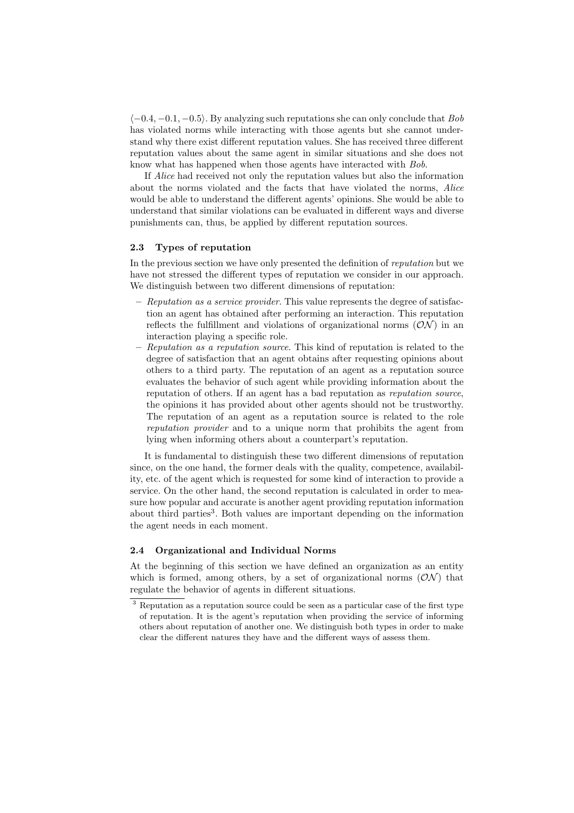$\langle -0.4, -0.1, -0.5 \rangle$ . By analyzing such reputations she can only conclude that Bob has violated norms while interacting with those agents but she cannot understand why there exist different reputation values. She has received three different reputation values about the same agent in similar situations and she does not know what has happened when those agents have interacted with Bob.

If Alice had received not only the reputation values but also the information about the norms violated and the facts that have violated the norms, Alice would be able to understand the different agents' opinions. She would be able to understand that similar violations can be evaluated in different ways and diverse punishments can, thus, be applied by different reputation sources.

## 2.3 Types of reputation

In the previous section we have only presented the definition of reputation but we have not stressed the different types of reputation we consider in our approach. We distinguish between two different dimensions of reputation:

- $-$  Reputation as a service provider. This value represents the degree of satisfaction an agent has obtained after performing an interaction. This reputation reflects the fulfillment and violations of organizational norms  $(\mathcal{ON})$  in an interaction playing a specific role.
- Reputation as a reputation source. This kind of reputation is related to the degree of satisfaction that an agent obtains after requesting opinions about others to a third party. The reputation of an agent as a reputation source evaluates the behavior of such agent while providing information about the reputation of others. If an agent has a bad reputation as reputation source, the opinions it has provided about other agents should not be trustworthy. The reputation of an agent as a reputation source is related to the role reputation provider and to a unique norm that prohibits the agent from lying when informing others about a counterpart's reputation.

It is fundamental to distinguish these two different dimensions of reputation since, on the one hand, the former deals with the quality, competence, availability, etc. of the agent which is requested for some kind of interaction to provide a service. On the other hand, the second reputation is calculated in order to measure how popular and accurate is another agent providing reputation information about third parties<sup>3</sup>. Both values are important depending on the information the agent needs in each moment.

#### 2.4 Organizational and Individual Norms

At the beginning of this section we have defined an organization as an entity which is formed, among others, by a set of organizational norms  $(ON)$  that regulate the behavior of agents in different situations.

<sup>3</sup> Reputation as a reputation source could be seen as a particular case of the first type of reputation. It is the agent's reputation when providing the service of informing others about reputation of another one. We distinguish both types in order to make clear the different natures they have and the different ways of assess them.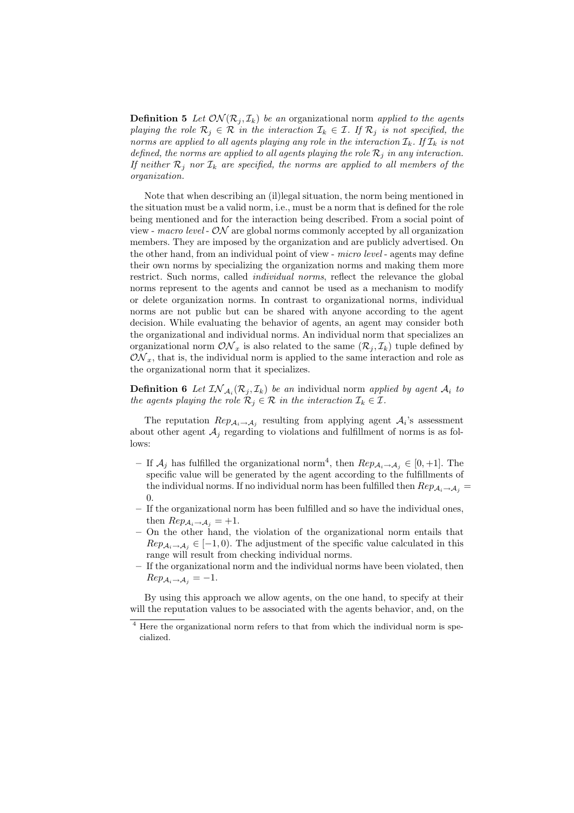**Definition 5** Let  $ON(\mathcal{R}_j, \mathcal{I}_k)$  be an organizational norm applied to the agents playing the role  $\mathcal{R}_j \in \mathcal{R}$  in the interaction  $\mathcal{I}_k \in \mathcal{I}$ . If  $\mathcal{R}_j$  is not specified, the norms are applied to all agents playing any role in the interaction  $\mathcal{I}_k$ . If  $\mathcal{I}_k$  is not defined, the norms are applied to all agents playing the role  $\mathcal{R}_i$  in any interaction. If neither  $\mathcal{R}_i$  nor  $\mathcal{I}_k$  are specified, the norms are applied to all members of the organization.

Note that when describing an (il)legal situation, the norm being mentioned in the situation must be a valid norm, i.e., must be a norm that is defined for the role being mentioned and for the interaction being described. From a social point of view - macro level -  $ON$  are global norms commonly accepted by all organization members. They are imposed by the organization and are publicly advertised. On the other hand, from an individual point of view - *micro level* - agents may define their own norms by specializing the organization norms and making them more restrict. Such norms, called *individual norms*, reflect the relevance the global norms represent to the agents and cannot be used as a mechanism to modify or delete organization norms. In contrast to organizational norms, individual norms are not public but can be shared with anyone according to the agent decision. While evaluating the behavior of agents, an agent may consider both the organizational and individual norms. An individual norm that specializes an organizational norm  $\mathcal{ON}_x$  is also related to the same  $(\mathcal{R}_j, \mathcal{I}_k)$  tuple defined by  $\mathcal{ON}_x$ , that is, the individual norm is applied to the same interaction and role as the organizational norm that it specializes.

**Definition 6** Let  $IN_{\mathcal{A}_i}(\mathcal{R}_j, \mathcal{I}_k)$  be an individual norm applied by agent  $\mathcal{A}_i$  to the agents playing the role  $\mathcal{R}_j \in \mathcal{R}$  in the interaction  $\mathcal{I}_k \in \mathcal{I}$ .

The reputation  $Rep_{\mathcal{A}_i \to \mathcal{A}_j}$  resulting from applying agent  $\mathcal{A}_i$ 's assessment about other agent  $A_i$  regarding to violations and fulfillment of norms is as follows:

- If  $\mathcal{A}_j$  has fulfilled the organizational norm<sup>4</sup>, then  $\mathbb{R}e_{\mathcal{P}\mathcal{A}_i\to\mathcal{A}_j} \in [0, +1]$ . The specific value will be generated by the agent according to the fulfillments of the individual norms. If no individual norm has been fulfilled then  $Rep_{\mathcal{A}_i \to \mathcal{A}_j}$ 0.
- If the organizational norm has been fulfilled and so have the individual ones, then  $Rep_{\mathcal{A}_i \to \mathcal{A}_j} = +1$ .
- On the other hand, the violation of the organizational norm entails that  $Rep_{\mathcal{A}_i \to \mathcal{A}_j} \in [-1, 0)$ . The adjustment of the specific value calculated in this range will result from checking individual norms.
- If the organizational norm and the individual norms have been violated, then  $\text{Rep}_{\mathcal{A}_i \to \mathcal{A}_j} = -1.$

By using this approach we allow agents, on the one hand, to specify at their will the reputation values to be associated with the agents behavior, and, on the

<sup>&</sup>lt;sup>4</sup> Here the organizational norm refers to that from which the individual norm is specialized.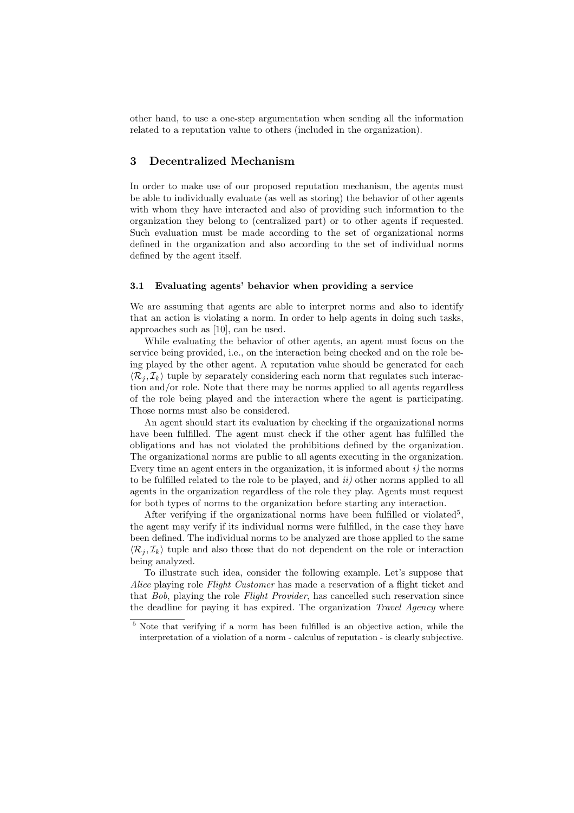other hand, to use a one-step argumentation when sending all the information related to a reputation value to others (included in the organization).

## 3 Decentralized Mechanism

In order to make use of our proposed reputation mechanism, the agents must be able to individually evaluate (as well as storing) the behavior of other agents with whom they have interacted and also of providing such information to the organization they belong to (centralized part) or to other agents if requested. Such evaluation must be made according to the set of organizational norms defined in the organization and also according to the set of individual norms defined by the agent itself.

#### 3.1 Evaluating agents' behavior when providing a service

We are assuming that agents are able to interpret norms and also to identify that an action is violating a norm. In order to help agents in doing such tasks, approaches such as [10], can be used.

While evaluating the behavior of other agents, an agent must focus on the service being provided, i.e., on the interaction being checked and on the role being played by the other agent. A reputation value should be generated for each  $\langle \mathcal{R}_i, \mathcal{I}_k \rangle$  tuple by separately considering each norm that regulates such interaction and/or role. Note that there may be norms applied to all agents regardless of the role being played and the interaction where the agent is participating. Those norms must also be considered.

An agent should start its evaluation by checking if the organizational norms have been fulfilled. The agent must check if the other agent has fulfilled the obligations and has not violated the prohibitions defined by the organization. The organizational norms are public to all agents executing in the organization. Every time an agent enters in the organization, it is informed about  $i$ ) the norms to be fulfilled related to the role to be played, and  $ii)$  other norms applied to all agents in the organization regardless of the role they play. Agents must request for both types of norms to the organization before starting any interaction.

After verifying if the organizational norms have been fulfilled or violated<sup>5</sup>, the agent may verify if its individual norms were fulfilled, in the case they have been defined. The individual norms to be analyzed are those applied to the same  $\langle \mathcal{R}_i, \mathcal{I}_k \rangle$  tuple and also those that do not dependent on the role or interaction being analyzed.

To illustrate such idea, consider the following example. Let's suppose that Alice playing role Flight Customer has made a reservation of a flight ticket and that Bob, playing the role Flight Provider, has cancelled such reservation since the deadline for paying it has expired. The organization *Travel Agency* where

<sup>5</sup> Note that verifying if a norm has been fulfilled is an objective action, while the interpretation of a violation of a norm - calculus of reputation - is clearly subjective.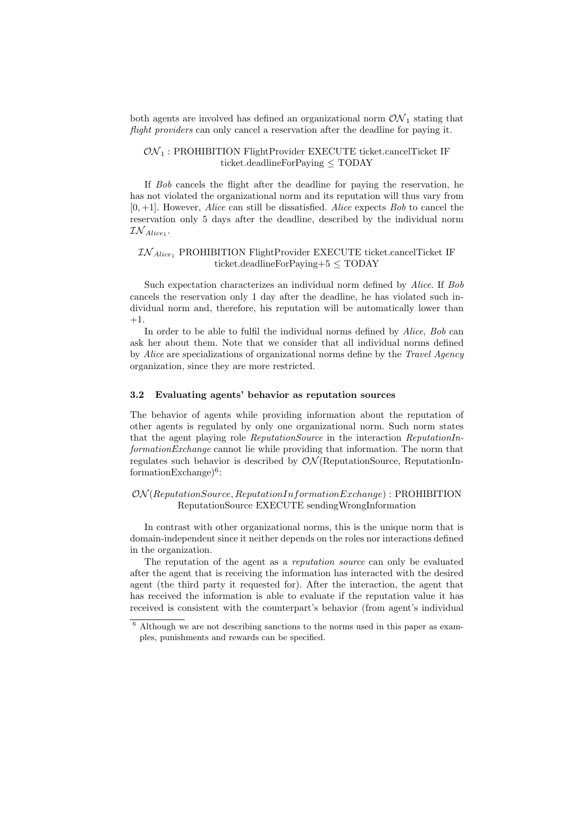both agents are involved has defined an organizational norm  $\mathcal{ON}_1$  stating that flight providers can only cancel a reservation after the deadline for paying it.

#### $ON_1$ : PROHIBITION FlightProvider EXECUTE ticket.cancelTicket IF ticket.deadlineForPaying ≤ TODAY

If Bob cancels the flight after the deadline for paying the reservation, he has not violated the organizational norm and its reputation will thus vary from  $[0, +1]$ . However, *Alice* can still be dissatisfied. *Alice* expects *Bob* to cancel the reservation only 5 days after the deadline, described by the individual norm  $\mathcal{IN}_{Alice_1}.$ 

## $IN_{Alice}$  PROHIBITION FlightProvider EXECUTE ticket.cancelTicket IF ticket.deadlineForPaying+5 ≤ TODAY

Such expectation characterizes an individual norm defined by Alice. If Bob cancels the reservation only 1 day after the deadline, he has violated such individual norm and, therefore, his reputation will be automatically lower than +1.

In order to be able to fulfil the individual norms defined by Alice, Bob can ask her about them. Note that we consider that all individual norms defined by Alice are specializations of organizational norms define by the Travel Agency organization, since they are more restricted.

#### 3.2 Evaluating agents' behavior as reputation sources

The behavior of agents while providing information about the reputation of other agents is regulated by only one organizational norm. Such norm states that the agent playing role ReputationSource in the interaction ReputationInformationExchange cannot lie while providing that information. The norm that regulates such behavior is described by  $\mathcal{ON}($ ReputationSource, ReputationIn $formationExchange)^6$ :

## $ON(ReputationSource, ReputationInformationExchange) : PROHIBITION$ ReputationSource EXECUTE sendingWrongInformation

In contrast with other organizational norms, this is the unique norm that is domain-independent since it neither depends on the roles nor interactions defined in the organization.

The reputation of the agent as a reputation source can only be evaluated after the agent that is receiving the information has interacted with the desired agent (the third party it requested for). After the interaction, the agent that has received the information is able to evaluate if the reputation value it has received is consistent with the counterpart's behavior (from agent's individual

 $6$  Although we are not describing sanctions to the norms used in this paper as examples, punishments and rewards can be specified.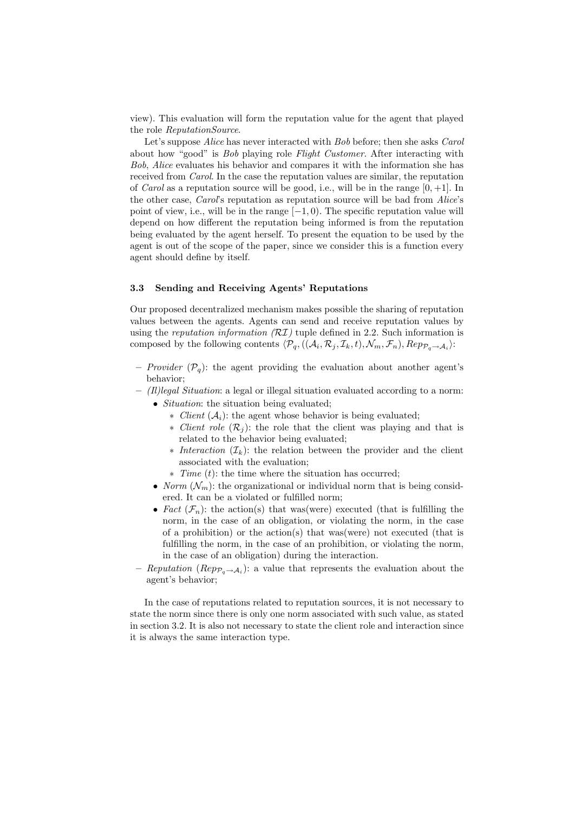view). This evaluation will form the reputation value for the agent that played the role ReputationSource.

Let's suppose *Alice* has never interacted with *Bob* before; then she asks *Carol* about how "good" is Bob playing role Flight Customer. After interacting with Bob, Alice evaluates his behavior and compares it with the information she has received from Carol. In the case the reputation values are similar, the reputation of *Carol* as a reputation source will be good, i.e., will be in the range  $[0, +1]$ . In the other case, *Carol's* reputation as reputation source will be bad from *Alice's* point of view, i.e., will be in the range  $[-1, 0)$ . The specific reputation value will depend on how different the reputation being informed is from the reputation being evaluated by the agent herself. To present the equation to be used by the agent is out of the scope of the paper, since we consider this is a function every agent should define by itself.

#### 3.3 Sending and Receiving Agents' Reputations

Our proposed decentralized mechanism makes possible the sharing of reputation values between the agents. Agents can send and receive reputation values by using the reputation information  $(RT)$  tuple defined in 2.2. Such information is composed by the following contents  $\langle \mathcal{P}_q, ((\mathcal{A}_i, \mathcal{R}_j, \mathcal{I}_k, t), \mathcal{N}_m, \mathcal{F}_n), Rep_{\mathcal{P}_q \to \mathcal{A}_i} \rangle$ :

- *Provider*  $(\mathcal{P}_q)$ : the agent providing the evaluation about another agent's behavior;
- $-$  (Il)legal Situation: a legal or illegal situation evaluated according to a norm:
	- *Situation*: the situation being evaluated;
		- $∗$  *Client* ( $A<sub>i</sub>$ ): the agent whose behavior is being evaluated;
		- ∗ Client role  $(\mathcal{R}_i)$ : the role that the client was playing and that is related to the behavior being evaluated;
		- $∗$  *Interaction* ( $\mathcal{I}_k$ ): the relation between the provider and the client associated with the evaluation;
		- ∗ Time (t): the time where the situation has occurred;
	- Norm  $(\mathcal{N}_m)$ : the organizational or individual norm that is being considered. It can be a violated or fulfilled norm;
	- Fact  $(\mathcal{F}_n)$ : the action(s) that was(were) executed (that is fulfilling the norm, in the case of an obligation, or violating the norm, in the case of a prohibition) or the action(s) that was(were) not executed (that is fulfilling the norm, in the case of an prohibition, or violating the norm, in the case of an obligation) during the interaction.
- Reputation (Rep $p_{q \to A_i}$ ): a value that represents the evaluation about the agent's behavior;

In the case of reputations related to reputation sources, it is not necessary to state the norm since there is only one norm associated with such value, as stated in section 3.2. It is also not necessary to state the client role and interaction since it is always the same interaction type.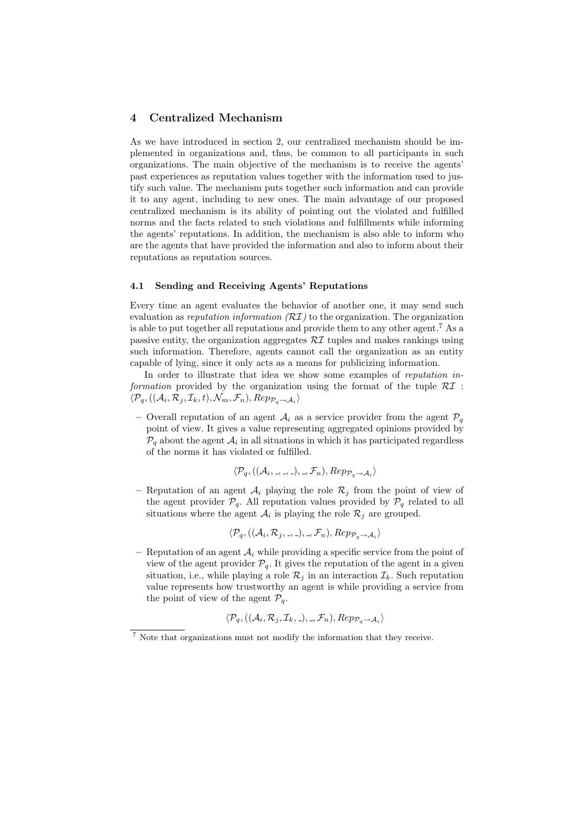## 4 Centralized Mechanism

As we have introduced in section 2, our centralized mechanism should be implemented in organizations and, thus, be common to all participants in such organizations. The main objective of the mechanism is to receive the agents' past experiences as reputation values together with the information used to justify such value. The mechanism puts together such information and can provide it to any agent, including to new ones. The main advantage of our proposed centralized mechanism is its ability of pointing out the violated and fulfilled norms and the facts related to such violations and fulfillments while informing the agents' reputations. In addition, the mechanism is also able to inform who are the agents that have provided the information and also to inform about their reputations as reputation sources.

#### 4.1 Sending and Receiving Agents' Reputations

Every time an agent evaluates the behavior of another one, it may send such evaluation as reputation information  $(RT)$  to the organization. The organization is able to put together all reputations and provide them to any other agent.<sup>7</sup> As a passive entity, the organization aggregates  $\mathcal{R}I$  tuples and makes rankings using such information. Therefore, agents cannot call the organization as an entity capable of lying, since it only acts as a means for publicizing information.

In order to illustrate that idea we show some examples of reputation information provided by the organization using the format of the tuple  $\mathcal{R}I$ :  $\langle \mathcal{P}_q, ((\mathcal{A}_i, \mathcal{R}_j, \mathcal{I}_k, t), \mathcal{N}_m, \mathcal{F}_n), Rep_{\mathcal{P}_q \to \mathcal{A}_i} \rangle$ 

– Overall reputation of an agent  $A_i$  as a service provider from the agent  $\mathcal{P}_q$ point of view. It gives a value representing aggregated opinions provided by  $\mathcal{P}_q$  about the agent  $\mathcal{A}_i$  in all situations in which it has participated regardless of the norms it has violated or fulfilled.

$$
\langle \mathcal{P}_q, ((\mathcal{A}_i, \ldots, \ldots), \ldots, \mathcal{F}_n), Rep_{\mathcal{P}_q \to \mathcal{A}_i} \rangle
$$

– Reputation of an agent  $A_i$  playing the role  $\mathcal{R}_j$  from the point of view of the agent provider  $\mathcal{P}_q$ . All reputation values provided by  $\mathcal{P}_q$  related to all situations where the agent  $A_i$  is playing the role  $\mathcal{R}_j$  are grouped.

$$
\langle \mathcal{P}_q, ((\mathcal{A}_i, \mathcal{R}_j, \ldots), \ldots, \mathcal{F}_n), Rep_{\mathcal{P}_q \to \mathcal{A}_i} \rangle
$$

Reputation of an agent  $\mathcal{A}_i$  while providing a specific service from the point of view of the agent provider  $P_q$ . It gives the reputation of the agent in a given situation, i.e., while playing a role  $\mathcal{R}_i$  in an interaction  $\mathcal{I}_k$ . Such reputation value represents how trustworthy an agent is while providing a service from the point of view of the agent  $\mathcal{P}_q$ .

$$
\langle \mathcal{P}_q, ((\mathcal{A}_i, \mathcal{R}_j, \mathcal{I}_k, \_), \_, \mathcal{F}_n), \mathbb{R}ep_{\mathcal{P}_q \to \mathcal{A}_i} \rangle
$$

<sup>7</sup> Note that organizations must not modify the information that they receive.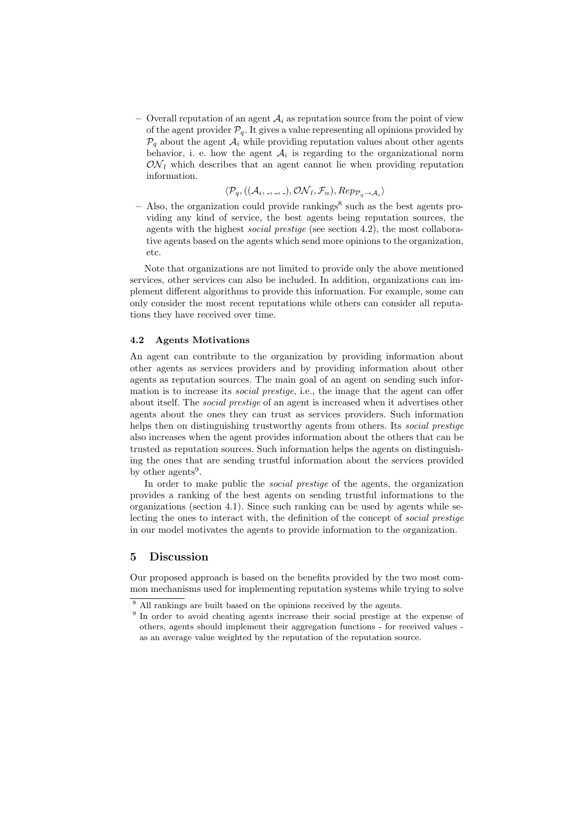– Overall reputation of an agent  $A_i$  as reputation source from the point of view of the agent provider  $P_q$ . It gives a value representing all opinions provided by  $\mathcal{P}_q$  about the agent  $\mathcal{A}_i$  while providing reputation values about other agents behavior, i. e. how the agent  $A_i$  is regarding to the organizational norm  $\mathcal{ON}_l$  which describes that an agent cannot lie when providing reputation information.

$$
\langle \mathcal{P}_q, ((\mathcal{A}_i, \ldots, \ldots), \mathcal{ON}_l, \mathcal{F}_n), Rep_{\mathcal{P}_q \to \mathcal{A}_i} \rangle
$$

 $-$  Also, the organization could provide rankings<sup>8</sup> such as the best agents providing any kind of service, the best agents being reputation sources, the agents with the highest social prestige (see section 4.2), the most collaborative agents based on the agents which send more opinions to the organization, etc.

Note that organizations are not limited to provide only the above mentioned services, other services can also be included. In addition, organizations can implement different algorithms to provide this information. For example, some can only consider the most recent reputations while others can consider all reputations they have received over time.

#### 4.2 Agents Motivations

An agent can contribute to the organization by providing information about other agents as services providers and by providing information about other agents as reputation sources. The main goal of an agent on sending such information is to increase its *social prestige*, i.e., the image that the agent can offer about itself. The social prestige of an agent is increased when it advertises other agents about the ones they can trust as services providers. Such information helps then on distinguishing trustworthy agents from others. Its social prestige also increases when the agent provides information about the others that can be trusted as reputation sources. Such information helps the agents on distinguishing the ones that are sending trustful information about the services provided by other agents<sup>9</sup>.

In order to make public the *social prestige* of the agents, the organization provides a ranking of the best agents on sending trustful informations to the organizations (section 4.1). Since such ranking can be used by agents while selecting the ones to interact with, the definition of the concept of social prestige in our model motivates the agents to provide information to the organization.

## 5 Discussion

Our proposed approach is based on the benefits provided by the two most common mechanisms used for implementing reputation systems while trying to solve

<sup>8</sup> All rankings are built based on the opinions received by the agents.

<sup>&</sup>lt;sup>9</sup> In order to avoid cheating agents increase their social prestige at the expense of others, agents should implement their aggregation functions - for received values as an average value weighted by the reputation of the reputation source.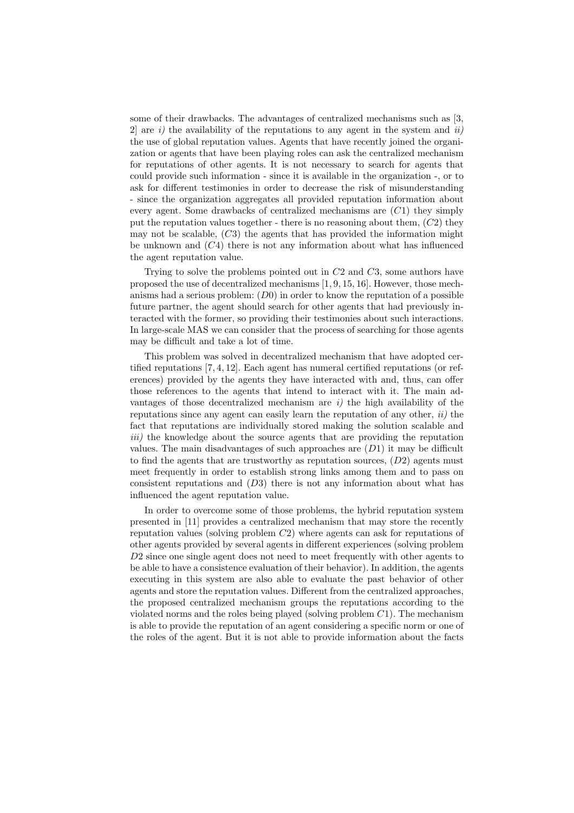some of their drawbacks. The advantages of centralized mechanisms such as [3, 2 are i) the availability of the reputations to any agent in the system and ii) the use of global reputation values. Agents that have recently joined the organization or agents that have been playing roles can ask the centralized mechanism for reputations of other agents. It is not necessary to search for agents that could provide such information - since it is available in the organization -, or to ask for different testimonies in order to decrease the risk of misunderstanding - since the organization aggregates all provided reputation information about every agent. Some drawbacks of centralized mechanisms are (C1) they simply put the reputation values together - there is no reasoning about them,  $(C2)$  they may not be scalable,  $(C3)$  the agents that has provided the information might be unknown and  $(C4)$  there is not any information about what has influenced the agent reputation value.

Trying to solve the problems pointed out in C2 and C3, some authors have proposed the use of decentralized mechanisms [1, 9, 15, 16]. However, those mechanisms had a serious problem:  $(D0)$  in order to know the reputation of a possible future partner, the agent should search for other agents that had previously interacted with the former, so providing their testimonies about such interactions. In large-scale MAS we can consider that the process of searching for those agents may be difficult and take a lot of time.

This problem was solved in decentralized mechanism that have adopted certified reputations [7, 4, 12]. Each agent has numeral certified reputations (or references) provided by the agents they have interacted with and, thus, can offer those references to the agents that intend to interact with it. The main advantages of those decentralized mechanism are  $i$ ) the high availability of the reputations since any agent can easily learn the reputation of any other,  $ii)$  the fact that reputations are individually stored making the solution scalable and iii) the knowledge about the source agents that are providing the reputation values. The main disadvantages of such approaches are  $(D1)$  it may be difficult to find the agents that are trustworthy as reputation sources,  $(D2)$  agents must meet frequently in order to establish strong links among them and to pass on consistent reputations and  $(D3)$  there is not any information about what has influenced the agent reputation value.

In order to overcome some of those problems, the hybrid reputation system presented in [11] provides a centralized mechanism that may store the recently reputation values (solving problem  $C_2$ ) where agents can ask for reputations of other agents provided by several agents in different experiences (solving problem D2 since one single agent does not need to meet frequently with other agents to be able to have a consistence evaluation of their behavior). In addition, the agents executing in this system are also able to evaluate the past behavior of other agents and store the reputation values. Different from the centralized approaches, the proposed centralized mechanism groups the reputations according to the violated norms and the roles being played (solving problem  $C1$ ). The mechanism is able to provide the reputation of an agent considering a specific norm or one of the roles of the agent. But it is not able to provide information about the facts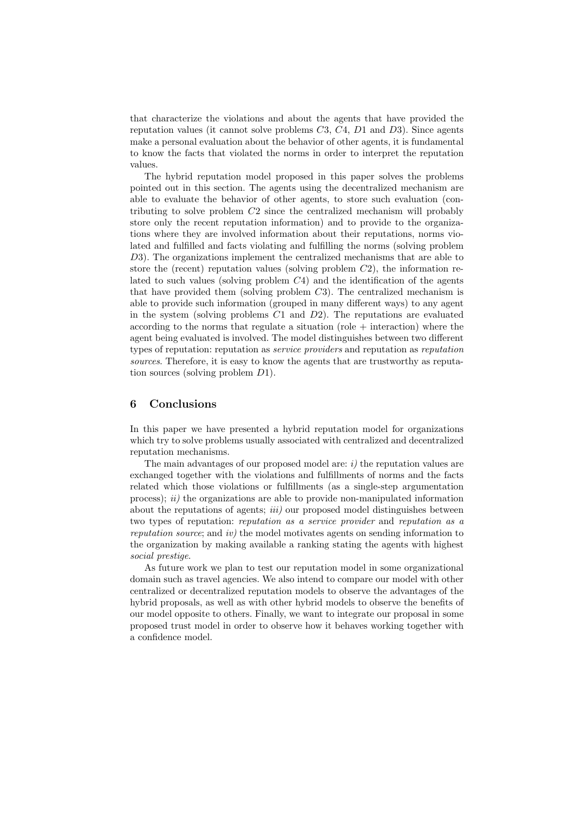that characterize the violations and about the agents that have provided the reputation values (it cannot solve problems  $C_3$ ,  $C_4$ ,  $D_1$  and  $D_3$ ). Since agents make a personal evaluation about the behavior of other agents, it is fundamental to know the facts that violated the norms in order to interpret the reputation values.

The hybrid reputation model proposed in this paper solves the problems pointed out in this section. The agents using the decentralized mechanism are able to evaluate the behavior of other agents, to store such evaluation (contributing to solve problem C2 since the centralized mechanism will probably store only the recent reputation information) and to provide to the organizations where they are involved information about their reputations, norms violated and fulfilled and facts violating and fulfilling the norms (solving problem D3). The organizations implement the centralized mechanisms that are able to store the (recent) reputation values (solving problem  $C_2$ ), the information related to such values (solving problem  $C_4$ ) and the identification of the agents that have provided them (solving problem  $C3$ ). The centralized mechanism is able to provide such information (grouped in many different ways) to any agent in the system (solving problems  $C1$  and  $D2$ ). The reputations are evaluated according to the norms that regulate a situation (role  $+$  interaction) where the agent being evaluated is involved. The model distinguishes between two different types of reputation: reputation as service providers and reputation as reputation sources. Therefore, it is easy to know the agents that are trustworthy as reputation sources (solving problem D1).

### 6 Conclusions

In this paper we have presented a hybrid reputation model for organizations which try to solve problems usually associated with centralized and decentralized reputation mechanisms.

The main advantages of our proposed model are:  $i$ ) the reputation values are exchanged together with the violations and fulfillments of norms and the facts related which those violations or fulfillments (as a single-step argumentation process);  $ii)$  the organizations are able to provide non-manipulated information about the reputations of agents;  $iii)$  our proposed model distinguishes between two types of reputation: reputation as a service provider and reputation as a reputation source; and iv) the model motivates agents on sending information to the organization by making available a ranking stating the agents with highest social prestige.

As future work we plan to test our reputation model in some organizational domain such as travel agencies. We also intend to compare our model with other centralized or decentralized reputation models to observe the advantages of the hybrid proposals, as well as with other hybrid models to observe the benefits of our model opposite to others. Finally, we want to integrate our proposal in some proposed trust model in order to observe how it behaves working together with a confidence model.